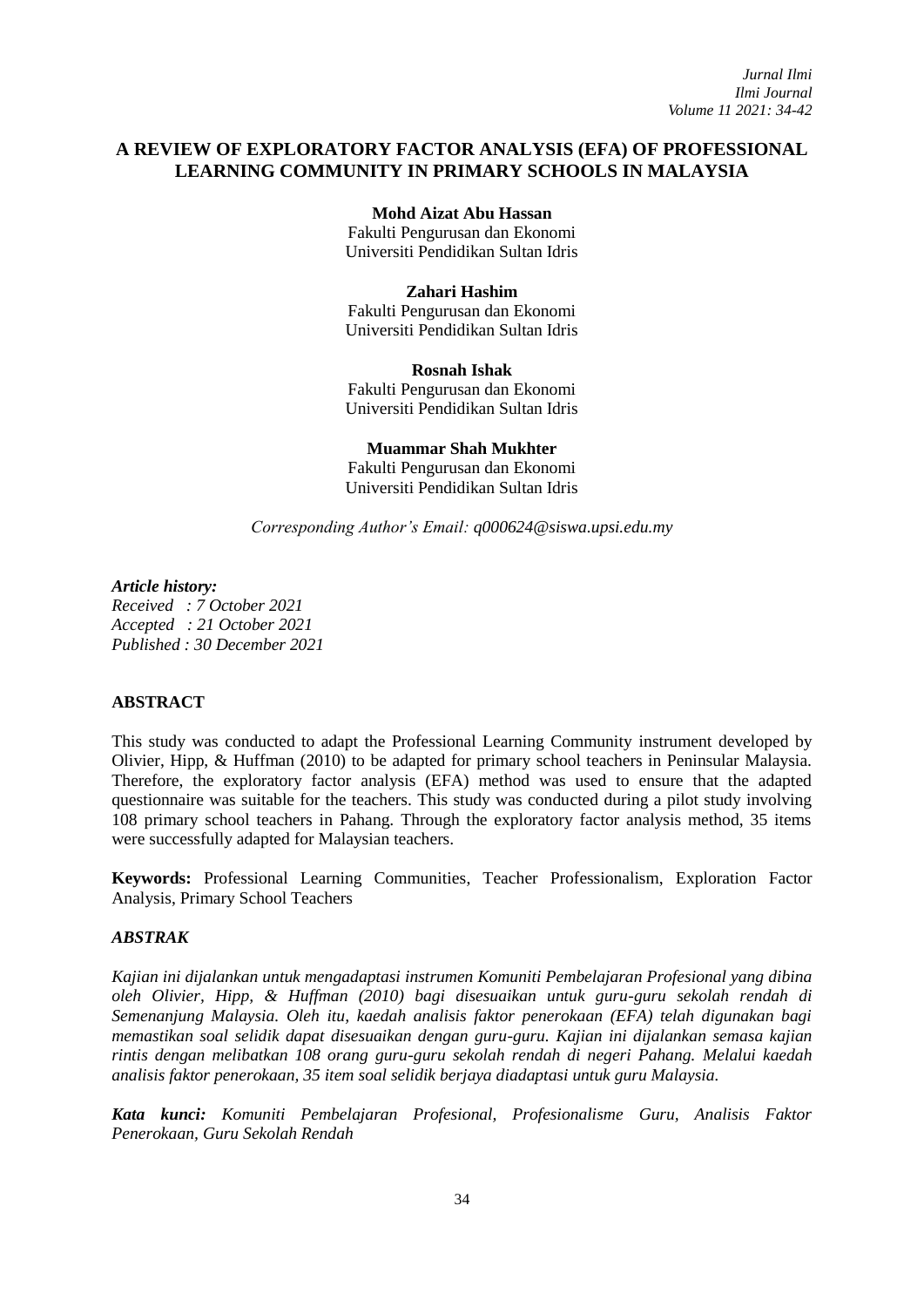# **A REVIEW OF EXPLORATORY FACTOR ANALYSIS (EFA) OF PROFESSIONAL LEARNING COMMUNITY IN PRIMARY SCHOOLS IN MALAYSIA**

**Mohd Aizat Abu Hassan** Fakulti Pengurusan dan Ekonomi Universiti Pendidikan Sultan Idris

**Zahari Hashim** Fakulti Pengurusan dan Ekonomi Universiti Pendidikan Sultan Idris

**Rosnah Ishak** Fakulti Pengurusan dan Ekonomi Universiti Pendidikan Sultan Idris

**Muammar Shah Mukhter** Fakulti Pengurusan dan Ekonomi Universiti Pendidikan Sultan Idris

*Corresponding Author's Email: [q000624@siswa.upsi.edu.my](mailto:q000624@siswa.upsi.edu.my)*

*Article history:*

*Received : 7 October 2021 Accepted : 21 October 2021 Published : 30 December 2021*

### **ABSTRACT**

This study was conducted to adapt the Professional Learning Community instrument developed by Olivier, Hipp, & Huffman (2010) to be adapted for primary school teachers in Peninsular Malaysia. Therefore, the exploratory factor analysis (EFA) method was used to ensure that the adapted questionnaire was suitable for the teachers. This study was conducted during a pilot study involving 108 primary school teachers in Pahang. Through the exploratory factor analysis method, 35 items were successfully adapted for Malaysian teachers.

**Keywords:** Professional Learning Communities, Teacher Professionalism, Exploration Factor Analysis, Primary School Teachers

### *ABSTRAK*

*Kajian ini dijalankan untuk mengadaptasi instrumen Komuniti Pembelajaran Profesional yang dibina oleh Olivier, Hipp, & Huffman (2010) bagi disesuaikan untuk guru-guru sekolah rendah di Semenanjung Malaysia. Oleh itu, kaedah analisis faktor penerokaan (EFA) telah digunakan bagi memastikan soal selidik dapat disesuaikan dengan guru-guru. Kajian ini dijalankan semasa kajian rintis dengan melibatkan 108 orang guru-guru sekolah rendah di negeri Pahang. Melalui kaedah analisis faktor penerokaan, 35 item soal selidik berjaya diadaptasi untuk guru Malaysia.*

*Kata kunci: Komuniti Pembelajaran Profesional, Profesionalisme Guru, Analisis Faktor Penerokaan, Guru Sekolah Rendah*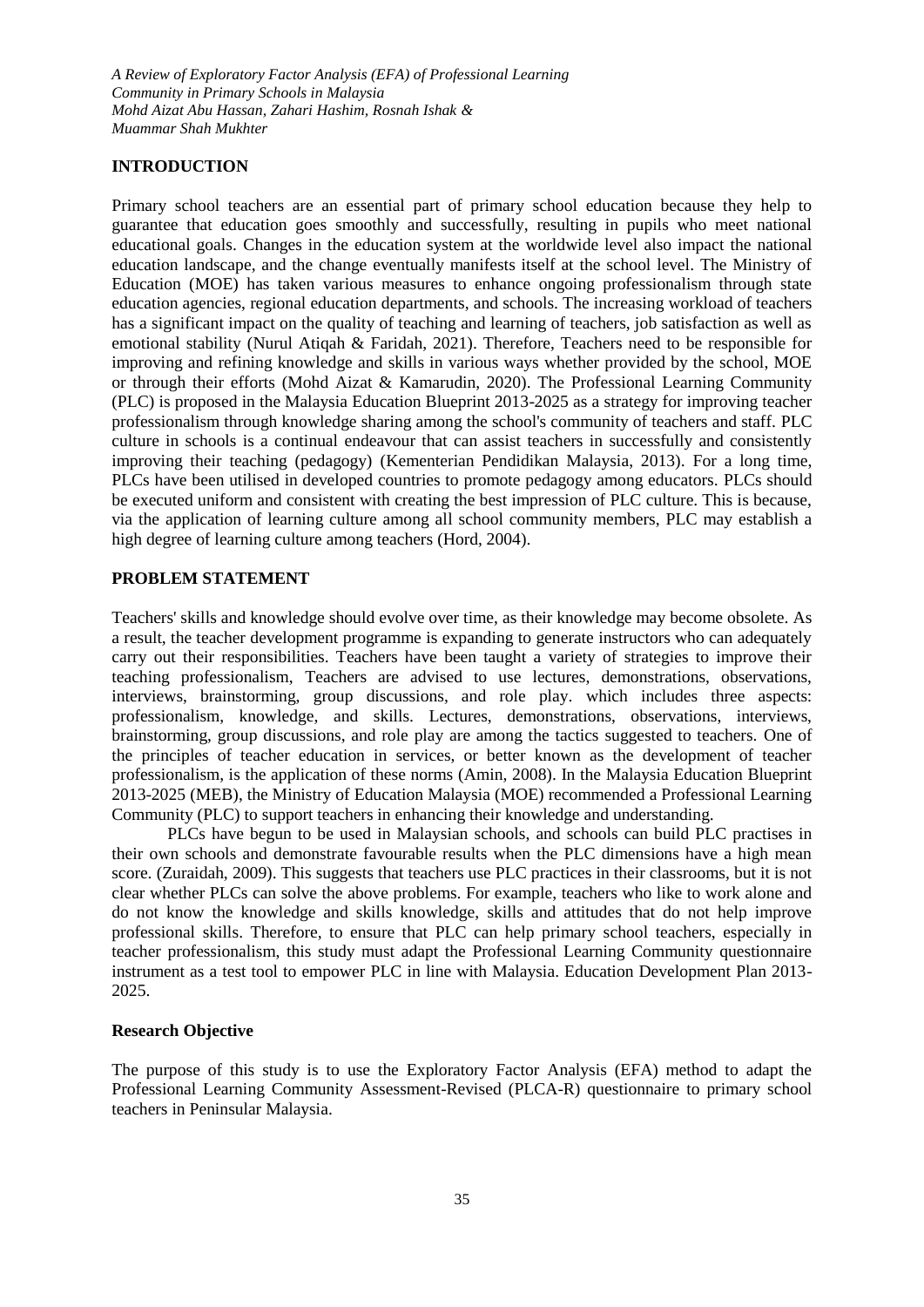*A Review of Exploratory Factor Analysis (EFA) of Professional Learning Community in Primary Schools in Malaysia Mohd Aizat Abu Hassan, Zahari Hashim, Rosnah Ishak & Muammar Shah Mukhter*

### **INTRODUCTION**

Primary school teachers are an essential part of primary school education because they help to guarantee that education goes smoothly and successfully, resulting in pupils who meet national educational goals. Changes in the education system at the worldwide level also impact the national education landscape, and the change eventually manifests itself at the school level. The Ministry of Education (MOE) has taken various measures to enhance ongoing professionalism through state education agencies, regional education departments, and schools. The increasing workload of teachers has a significant impact on the quality of teaching and learning of teachers, job satisfaction as well as emotional stability (Nurul Atiqah & Faridah, 2021). Therefore, Teachers need to be responsible for improving and refining knowledge and skills in various ways whether provided by the school, MOE or through their efforts (Mohd Aizat & Kamarudin, 2020). The Professional Learning Community (PLC) is proposed in the Malaysia Education Blueprint 2013-2025 as a strategy for improving teacher professionalism through knowledge sharing among the school's community of teachers and staff. PLC culture in schools is a continual endeavour that can assist teachers in successfully and consistently improving their teaching (pedagogy) (Kementerian Pendidikan Malaysia, 2013). For a long time, PLCs have been utilised in developed countries to promote pedagogy among educators. PLCs should be executed uniform and consistent with creating the best impression of PLC culture. This is because, via the application of learning culture among all school community members, PLC may establish a high degree of learning culture among teachers (Hord, 2004).

#### **PROBLEM STATEMENT**

Teachers' skills and knowledge should evolve over time, as their knowledge may become obsolete. As a result, the teacher development programme is expanding to generate instructors who can adequately carry out their responsibilities. Teachers have been taught a variety of strategies to improve their teaching professionalism, Teachers are advised to use lectures, demonstrations, observations, interviews, brainstorming, group discussions, and role play. which includes three aspects: professionalism, knowledge, and skills. Lectures, demonstrations, observations, interviews, brainstorming, group discussions, and role play are among the tactics suggested to teachers. One of the principles of teacher education in services, or better known as the development of teacher professionalism, is the application of these norms (Amin, 2008). In the Malaysia Education Blueprint 2013-2025 (MEB), the Ministry of Education Malaysia (MOE) recommended a Professional Learning Community (PLC) to support teachers in enhancing their knowledge and understanding.

PLCs have begun to be used in Malaysian schools, and schools can build PLC practises in their own schools and demonstrate favourable results when the PLC dimensions have a high mean score. (Zuraidah, 2009). This suggests that teachers use PLC practices in their classrooms, but it is not clear whether PLCs can solve the above problems. For example, teachers who like to work alone and do not know the knowledge and skills knowledge, skills and attitudes that do not help improve professional skills. Therefore, to ensure that PLC can help primary school teachers, especially in teacher professionalism, this study must adapt the Professional Learning Community questionnaire instrument as a test tool to empower PLC in line with Malaysia. Education Development Plan 2013- 2025.

#### **Research Objective**

The purpose of this study is to use the Exploratory Factor Analysis (EFA) method to adapt the Professional Learning Community Assessment-Revised (PLCA-R) questionnaire to primary school teachers in Peninsular Malaysia.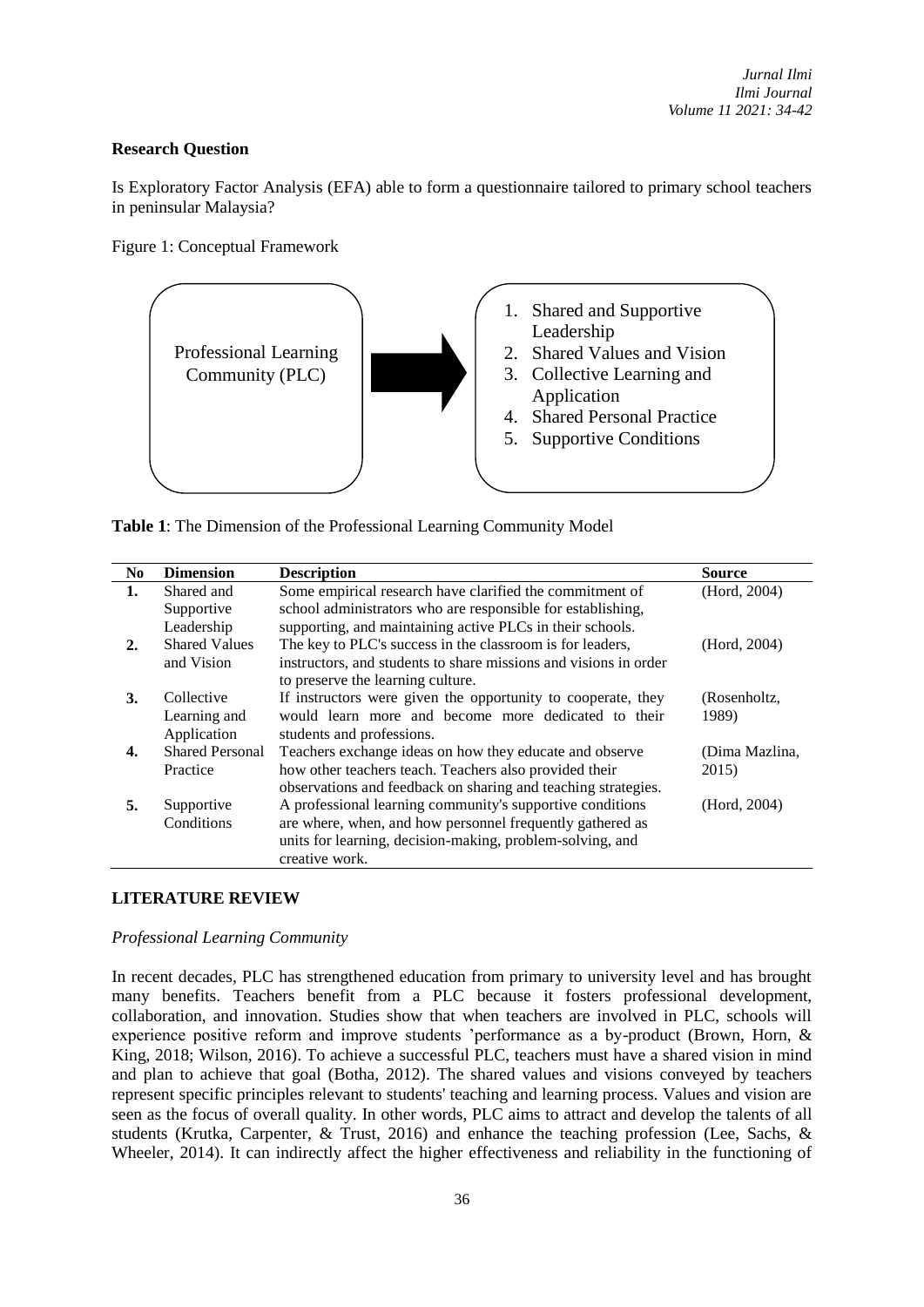## **Research Question**

Is Exploratory Factor Analysis (EFA) able to form a questionnaire tailored to primary school teachers in peninsular Malaysia?

Figure 1: Conceptual Framework



**Table 1**: The Dimension of the Professional Learning Community Model

| No. | <b>Dimension</b>       | <b>Description</b>                                               | Source         |
|-----|------------------------|------------------------------------------------------------------|----------------|
| 1.  | Shared and             | Some empirical research have clarified the commitment of         | (Hord, 2004)   |
|     | Supportive             | school administrators who are responsible for establishing,      |                |
|     | Leadership             | supporting, and maintaining active PLCs in their schools.        |                |
| 2.  | <b>Shared Values</b>   | The key to PLC's success in the classroom is for leaders,        | (Hord, 2004)   |
|     | and Vision             | instructors, and students to share missions and visions in order |                |
|     |                        | to preserve the learning culture.                                |                |
| 3.  | Collective             | If instructors were given the opportunity to cooperate, they     | (Rosenholtz,   |
|     | Learning and           | would learn more and become more dedicated to their              | 1989)          |
|     | Application            | students and professions.                                        |                |
|     | <b>Shared Personal</b> | Teachers exchange ideas on how they educate and observe          | (Dima Mazlina, |
|     | Practice               | how other teachers teach. Teachers also provided their           | 2015)          |
|     |                        | observations and feedback on sharing and teaching strategies.    |                |
| 5.  | Supportive             | A professional learning community's supportive conditions        | (Hord, 2004)   |
|     | Conditions             | are where, when, and how personnel frequently gathered as        |                |
|     |                        | units for learning, decision-making, problem-solving, and        |                |
|     |                        | creative work.                                                   |                |

## **LITERATURE REVIEW**

### *Professional Learning Community*

In recent decades, PLC has strengthened education from primary to university level and has brought many benefits. Teachers benefit from a PLC because it fosters professional development, collaboration, and innovation. Studies show that when teachers are involved in PLC, schools will experience positive reform and improve students 'performance as a by-product (Brown, Horn, & King, 2018; Wilson, 2016). To achieve a successful PLC, teachers must have a shared vision in mind and plan to achieve that goal (Botha, 2012). The shared values and visions conveyed by teachers represent specific principles relevant to students' teaching and learning process. Values and vision are seen as the focus of overall quality. In other words, PLC aims to attract and develop the talents of all students (Krutka, Carpenter, & Trust, 2016) and enhance the teaching profession (Lee, Sachs, & Wheeler, 2014). It can indirectly affect the higher effectiveness and reliability in the functioning of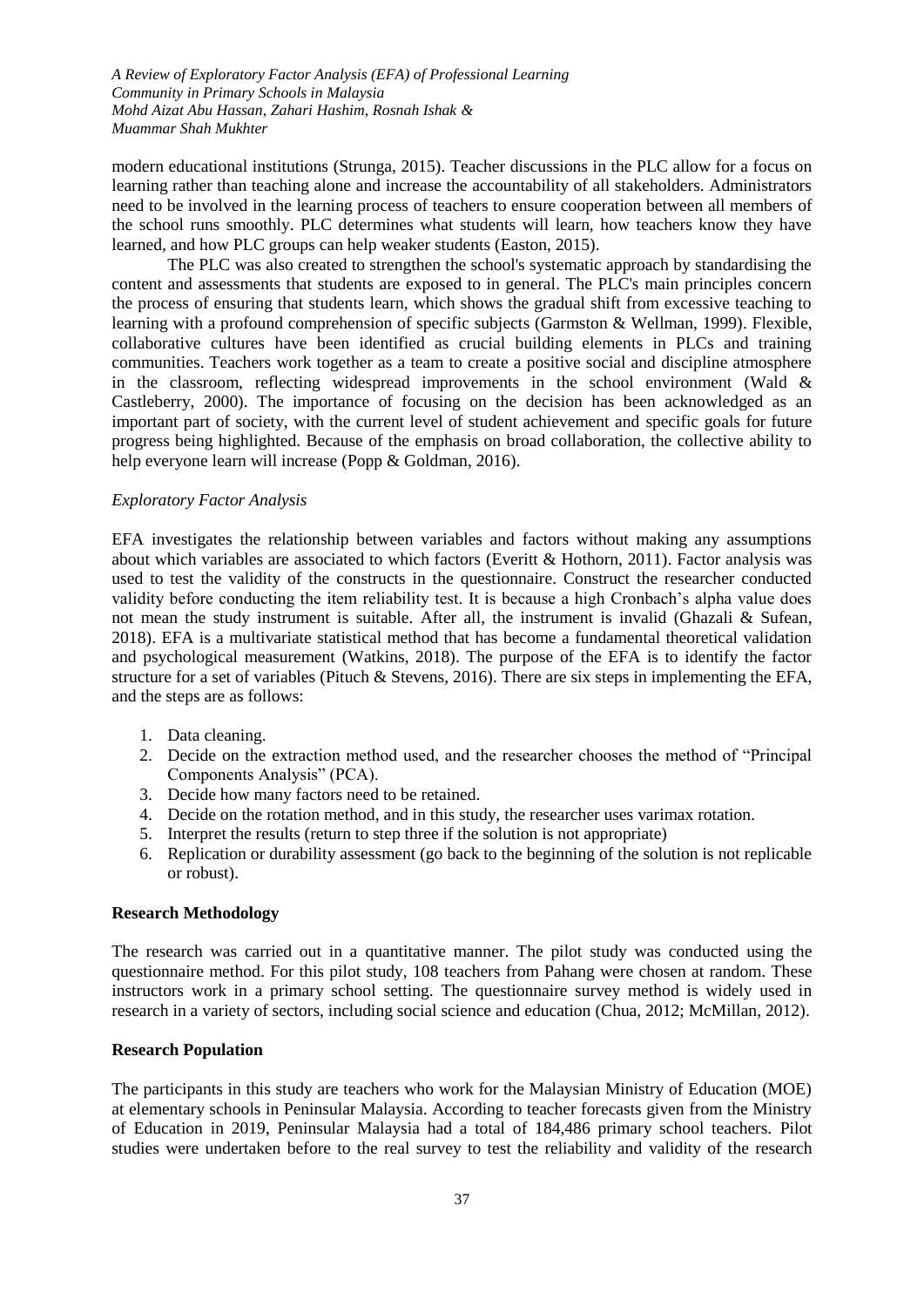*A Review of Exploratory Factor Analysis (EFA) of Professional Learning Community in Primary Schools in Malaysia Mohd Aizat Abu Hassan, Zahari Hashim, Rosnah Ishak & Muammar Shah Mukhter*

modern educational institutions (Strunga, 2015). Teacher discussions in the PLC allow for a focus on learning rather than teaching alone and increase the accountability of all stakeholders. Administrators need to be involved in the learning process of teachers to ensure cooperation between all members of the school runs smoothly. PLC determines what students will learn, how teachers know they have learned, and how PLC groups can help weaker students (Easton, 2015).

The PLC was also created to strengthen the school's systematic approach by standardising the content and assessments that students are exposed to in general. The PLC's main principles concern the process of ensuring that students learn, which shows the gradual shift from excessive teaching to learning with a profound comprehension of specific subjects (Garmston & Wellman, 1999). Flexible, collaborative cultures have been identified as crucial building elements in PLCs and training communities. Teachers work together as a team to create a positive social and discipline atmosphere in the classroom, reflecting widespread improvements in the school environment (Wald & Castleberry, 2000). The importance of focusing on the decision has been acknowledged as an important part of society, with the current level of student achievement and specific goals for future progress being highlighted. Because of the emphasis on broad collaboration, the collective ability to help everyone learn will increase (Popp & Goldman, 2016).

#### *Exploratory Factor Analysis*

EFA investigates the relationship between variables and factors without making any assumptions about which variables are associated to which factors (Everitt & Hothorn, 2011). Factor analysis was used to test the validity of the constructs in the questionnaire. Construct the researcher conducted validity before conducting the item reliability test. It is because a high Cronbach's alpha value does not mean the study instrument is suitable. After all, the instrument is invalid (Ghazali  $\&$  Sufean, 2018). EFA is a multivariate statistical method that has become a fundamental theoretical validation and psychological measurement (Watkins, 2018). The purpose of the EFA is to identify the factor structure for a set of variables (Pituch & Stevens, 2016). There are six steps in implementing the EFA, and the steps are as follows:

- 1. Data cleaning.
- 2. Decide on the extraction method used, and the researcher chooses the method of "Principal Components Analysis" (PCA).
- 3. Decide how many factors need to be retained.
- 4. Decide on the rotation method, and in this study, the researcher uses varimax rotation.
- 5. Interpret the results (return to step three if the solution is not appropriate)
- 6. Replication or durability assessment (go back to the beginning of the solution is not replicable or robust).

#### **Research Methodology**

The research was carried out in a quantitative manner. The pilot study was conducted using the questionnaire method. For this pilot study, 108 teachers from Pahang were chosen at random. These instructors work in a primary school setting. The questionnaire survey method is widely used in research in a variety of sectors, including social science and education (Chua, 2012; McMillan, 2012).

#### **Research Population**

The participants in this study are teachers who work for the Malaysian Ministry of Education (MOE) at elementary schools in Peninsular Malaysia. According to teacher forecasts given from the Ministry of Education in 2019, Peninsular Malaysia had a total of 184,486 primary school teachers. Pilot studies were undertaken before to the real survey to test the reliability and validity of the research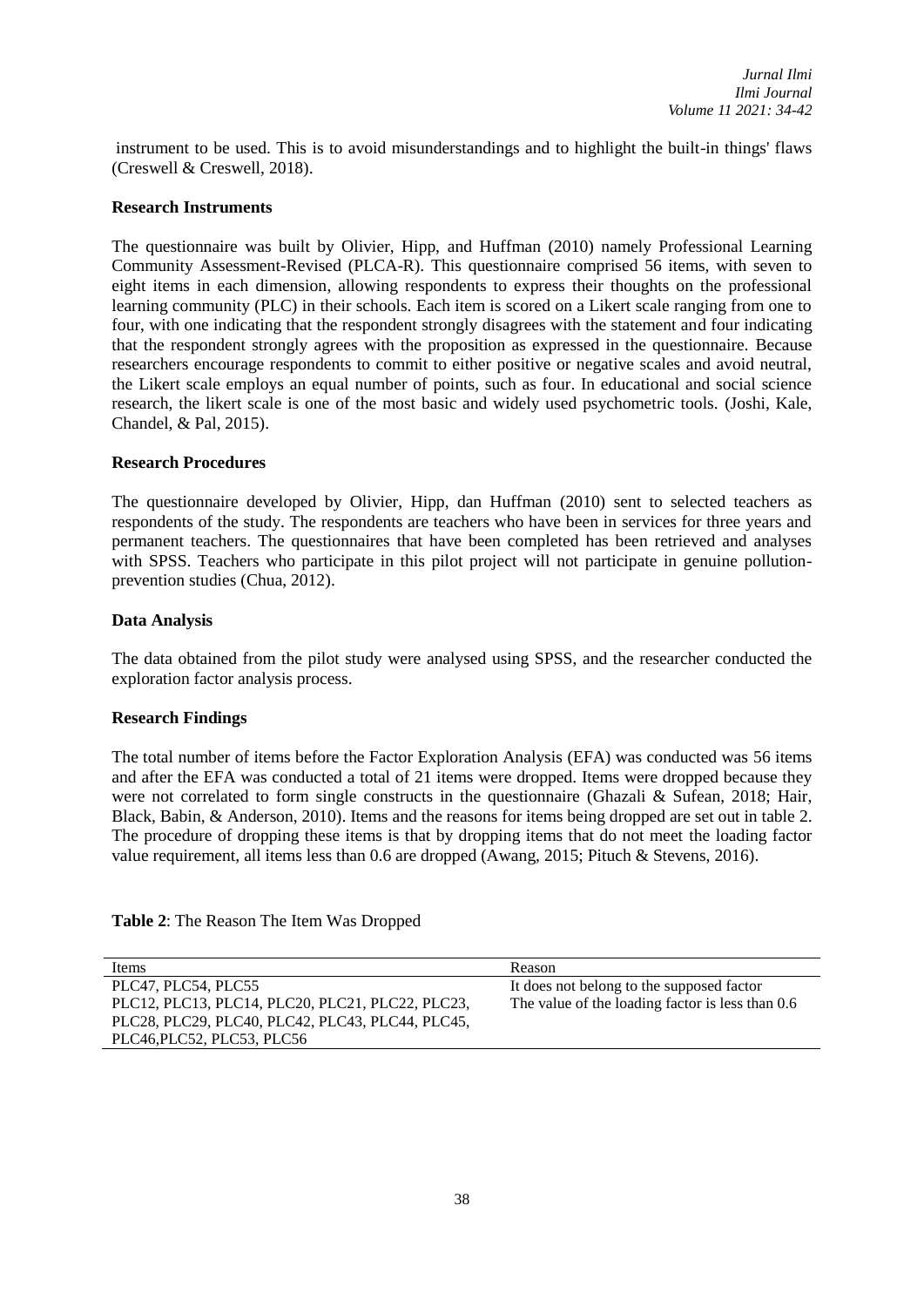instrument to be used. This is to avoid misunderstandings and to highlight the built-in things' flaws (Creswell & Creswell, 2018).

### **Research Instruments**

The questionnaire was built by Olivier, Hipp, and Huffman (2010) namely Professional Learning Community Assessment-Revised (PLCA-R). This questionnaire comprised 56 items, with seven to eight items in each dimension, allowing respondents to express their thoughts on the professional learning community (PLC) in their schools. Each item is scored on a Likert scale ranging from one to four, with one indicating that the respondent strongly disagrees with the statement and four indicating that the respondent strongly agrees with the proposition as expressed in the questionnaire. Because researchers encourage respondents to commit to either positive or negative scales and avoid neutral, the Likert scale employs an equal number of points, such as four. In educational and social science research, the likert scale is one of the most basic and widely used psychometric tools. (Joshi, Kale, Chandel, & Pal, 2015).

### **Research Procedures**

The questionnaire developed by Olivier, Hipp, dan Huffman (2010) sent to selected teachers as respondents of the study. The respondents are teachers who have been in services for three years and permanent teachers. The questionnaires that have been completed has been retrieved and analyses with SPSS. Teachers who participate in this pilot project will not participate in genuine pollutionprevention studies (Chua, 2012).

### **Data Analysis**

The data obtained from the pilot study were analysed using SPSS, and the researcher conducted the exploration factor analysis process.

## **Research Findings**

The total number of items before the Factor Exploration Analysis (EFA) was conducted was 56 items and after the EFA was conducted a total of 21 items were dropped. Items were dropped because they were not correlated to form single constructs in the questionnaire (Ghazali & Sufean, 2018; Hair, Black, Babin, & Anderson, 2010). Items and the reasons for items being dropped are set out in table 2. The procedure of dropping these items is that by dropping items that do not meet the loading factor value requirement, all items less than 0.6 are dropped (Awang, 2015; Pituch & Stevens, 2016).

| Table 2: The Reason The Item Was Dropped |  |  |
|------------------------------------------|--|--|
|------------------------------------------|--|--|

| Items                                            | Reason                                           |
|--------------------------------------------------|--------------------------------------------------|
| PLC47, PLC54, PLC55                              | It does not belong to the supposed factor        |
| PLC12, PLC13, PLC14, PLC20, PLC21, PLC22, PLC23, | The value of the loading factor is less than 0.6 |
| PLC28, PLC29, PLC40, PLC42, PLC43, PLC44, PLC45, |                                                  |
| PLC46, PLC52, PLC53, PLC56                       |                                                  |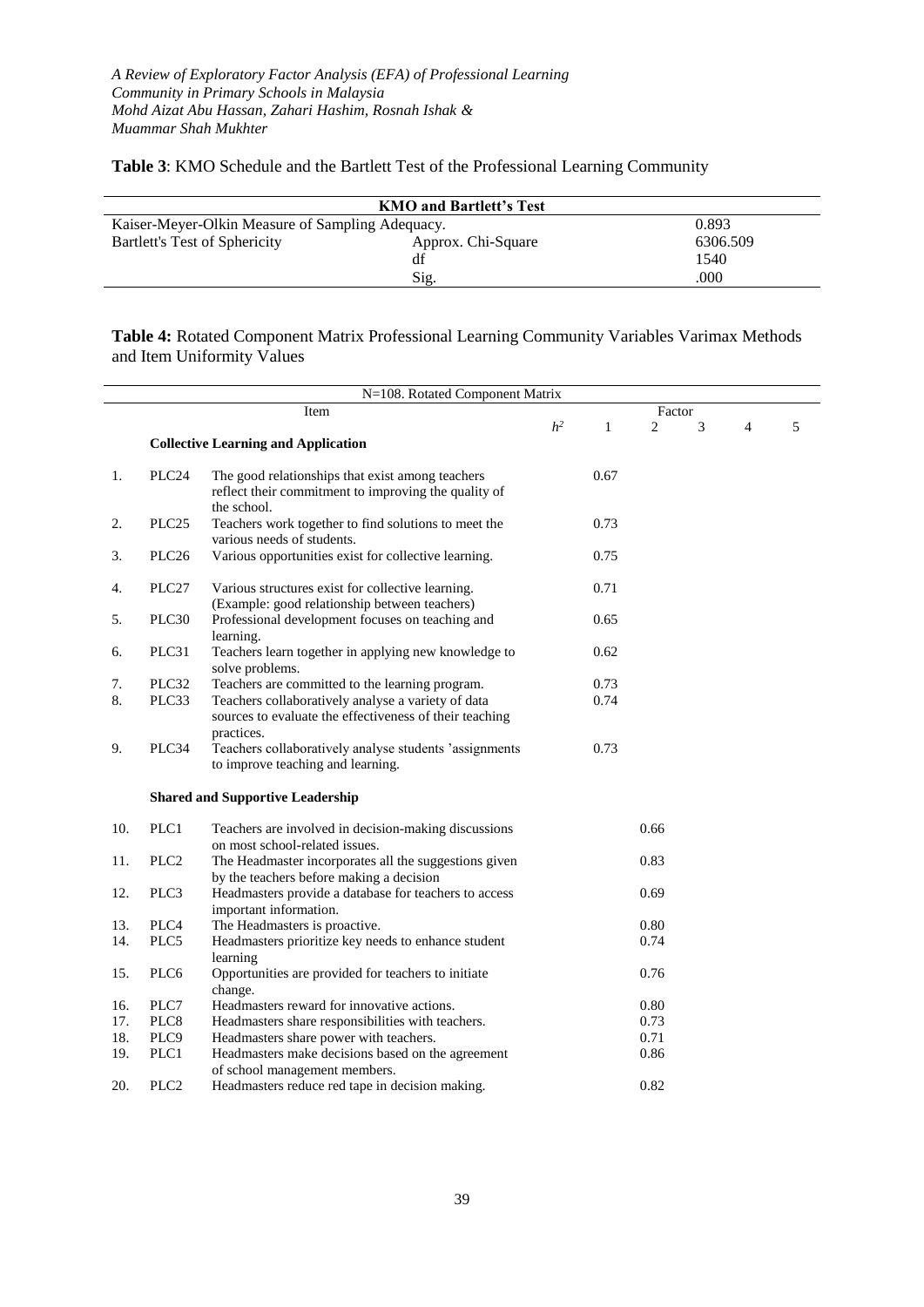**Table 3**: KMO Schedule and the Bartlett Test of the Professional Learning Community

| <b>KMO and Bartlett's Test</b>                   |                    |          |  |  |
|--------------------------------------------------|--------------------|----------|--|--|
| Kaiser-Meyer-Olkin Measure of Sampling Adequacy. |                    | 0.893    |  |  |
| Bartlett's Test of Sphericity                    | Approx. Chi-Square | 6306.509 |  |  |
|                                                  | df                 | 1540     |  |  |
|                                                  | Sig.               | .000     |  |  |

**Table 4:** Rotated Component Matrix Professional Learning Community Variables Varimax Methods and Item Uniformity Values

| N=108. Rotated Component Matrix |                   |                                                                                                                         |                |              |      |   |                |   |
|---------------------------------|-------------------|-------------------------------------------------------------------------------------------------------------------------|----------------|--------------|------|---|----------------|---|
|                                 | Item              |                                                                                                                         |                | Factor       |      |   |                |   |
|                                 |                   | <b>Collective Learning and Application</b>                                                                              | h <sup>2</sup> | $\mathbf{1}$ | 2    | 3 | $\overline{4}$ | 5 |
| 1.                              | PLC <sub>24</sub> | The good relationships that exist among teachers<br>reflect their commitment to improving the quality of<br>the school. |                | 0.67         |      |   |                |   |
| 2.                              | PLC <sub>25</sub> | Teachers work together to find solutions to meet the<br>various needs of students.                                      |                | 0.73         |      |   |                |   |
| 3.                              | PLC <sub>26</sub> | Various opportunities exist for collective learning.                                                                    |                | 0.75         |      |   |                |   |
| 4.                              | PLC <sub>27</sub> | Various structures exist for collective learning.<br>(Example: good relationship between teachers)                      |                | 0.71         |      |   |                |   |
| 5.                              | PLC30             | Professional development focuses on teaching and<br>learning.                                                           |                | 0.65         |      |   |                |   |
| 6.                              | PLC31             | Teachers learn together in applying new knowledge to<br>solve problems.                                                 |                | 0.62         |      |   |                |   |
| 7.                              | PLC32             | Teachers are committed to the learning program.                                                                         |                | 0.73         |      |   |                |   |
| 8.                              | PLC33             | Teachers collaboratively analyse a variety of data<br>sources to evaluate the effectiveness of their teaching           |                | 0.74         |      |   |                |   |
| 9.                              | PLC34             | practices.<br>Teachers collaboratively analyse students 'assignments<br>to improve teaching and learning.               |                | 0.73         |      |   |                |   |
|                                 |                   | <b>Shared and Supportive Leadership</b>                                                                                 |                |              |      |   |                |   |
| 10.                             | PLC1              | Teachers are involved in decision-making discussions<br>on most school-related issues.                                  |                |              | 0.66 |   |                |   |
| 11.                             | PLC <sub>2</sub>  | The Headmaster incorporates all the suggestions given<br>by the teachers before making a decision                       |                |              | 0.83 |   |                |   |
| 12.                             | PLC3              | Headmasters provide a database for teachers to access<br>important information.                                         |                |              | 0.69 |   |                |   |
| 13.                             | PLC4              | The Headmasters is proactive.                                                                                           |                |              | 0.80 |   |                |   |
| 14.                             | PLC5              | Headmasters prioritize key needs to enhance student<br>learning                                                         |                |              | 0.74 |   |                |   |
| 15.                             | PLC <sub>6</sub>  | Opportunities are provided for teachers to initiate<br>change.                                                          |                |              | 0.76 |   |                |   |
| 16.                             | PLC7              | Headmasters reward for innovative actions.                                                                              |                |              | 0.80 |   |                |   |
| 17.                             | PLC8              | Headmasters share responsibilities with teachers.                                                                       |                |              | 0.73 |   |                |   |
| 18.                             | PLC9              | Headmasters share power with teachers.                                                                                  |                |              | 0.71 |   |                |   |
| 19.                             | PLC1              | Headmasters make decisions based on the agreement<br>of school management members.                                      |                |              | 0.86 |   |                |   |
| 20.                             | PLC <sub>2</sub>  | Headmasters reduce red tape in decision making.                                                                         |                |              | 0.82 |   |                |   |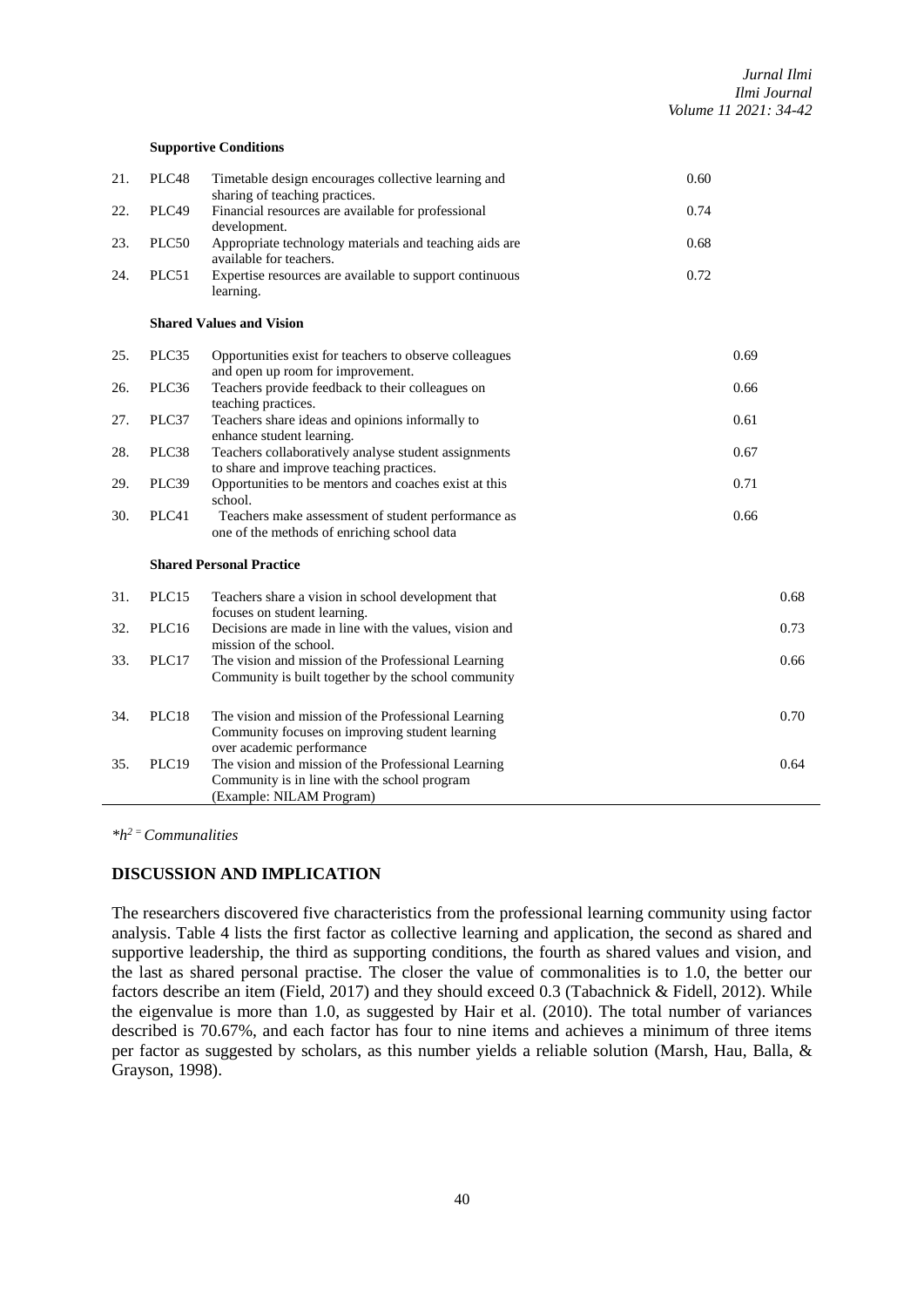#### **Supportive Conditions**

| 21. | PLC48 | Timetable design encourages collective learning and<br>sharing of teaching practices.                                               | 0.60 |
|-----|-------|-------------------------------------------------------------------------------------------------------------------------------------|------|
| 22. | PLC49 | Financial resources are available for professional<br>development.                                                                  | 0.74 |
| 23. | PLC50 | Appropriate technology materials and teaching aids are<br>available for teachers.                                                   | 0.68 |
| 24. | PLC51 | Expertise resources are available to support continuous<br>learning.                                                                | 0.72 |
|     |       | <b>Shared Values and Vision</b>                                                                                                     |      |
| 25. | PLC35 | Opportunities exist for teachers to observe colleagues<br>and open up room for improvement.                                         | 0.69 |
| 26. | PLC36 | Teachers provide feedback to their colleagues on<br>teaching practices.                                                             | 0.66 |
| 27. | PLC37 | Teachers share ideas and opinions informally to<br>enhance student learning.                                                        | 0.61 |
| 28. | PLC38 | Teachers collaboratively analyse student assignments<br>to share and improve teaching practices.                                    | 0.67 |
| 29. | PLC39 | Opportunities to be mentors and coaches exist at this<br>school.                                                                    | 0.71 |
| 30. | PLC41 | Teachers make assessment of student performance as<br>one of the methods of enriching school data                                   | 0.66 |
|     |       | <b>Shared Personal Practice</b>                                                                                                     |      |
| 31. | PLC15 | Teachers share a vision in school development that<br>focuses on student learning.                                                  | 0.68 |
| 32. | PLC16 | Decisions are made in line with the values, vision and<br>mission of the school.                                                    | 0.73 |
| 33. | PLC17 | The vision and mission of the Professional Learning<br>Community is built together by the school community                          | 0.66 |
| 34. | PLC18 | The vision and mission of the Professional Learning<br>Community focuses on improving student learning<br>over academic performance | 0.70 |
| 35. | PLC19 | The vision and mission of the Professional Learning<br>Community is in line with the school program<br>(Example: NILAM Program)     | 0.64 |

*\*h2 = Communalities*

## **DISCUSSION AND IMPLICATION**

The researchers discovered five characteristics from the professional learning community using factor analysis. Table 4 lists the first factor as collective learning and application, the second as shared and supportive leadership, the third as supporting conditions, the fourth as shared values and vision, and the last as shared personal practise. The closer the value of commonalities is to 1.0, the better our factors describe an item (Field, 2017) and they should exceed 0.3 (Tabachnick & Fidell, 2012). While the eigenvalue is more than 1.0, as suggested by Hair et al. (2010). The total number of variances described is 70.67%, and each factor has four to nine items and achieves a minimum of three items per factor as suggested by scholars, as this number yields a reliable solution (Marsh, Hau, Balla, & Grayson, 1998).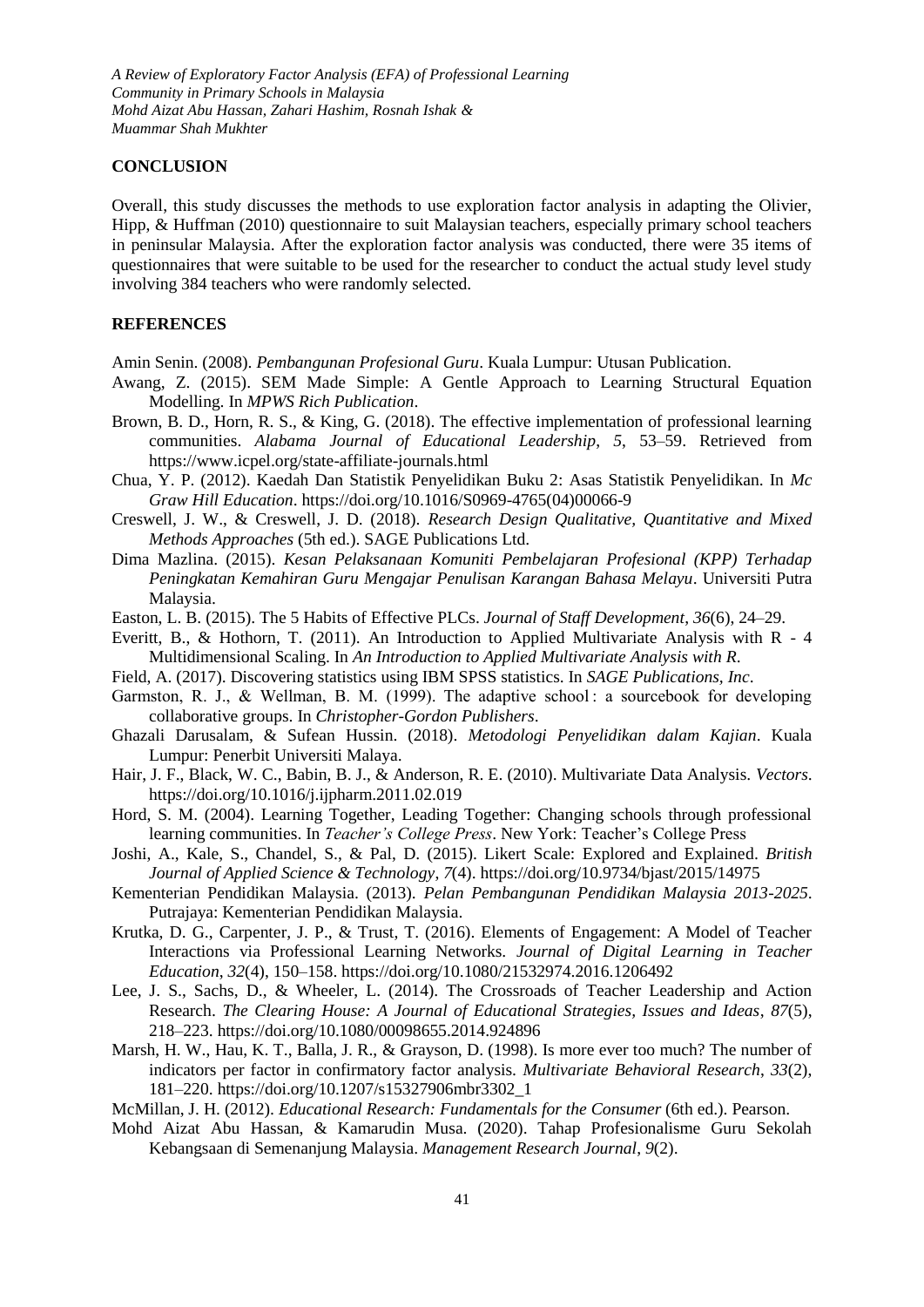*A Review of Exploratory Factor Analysis (EFA) of Professional Learning Community in Primary Schools in Malaysia Mohd Aizat Abu Hassan, Zahari Hashim, Rosnah Ishak & Muammar Shah Mukhter*

### **CONCLUSION**

Overall, this study discusses the methods to use exploration factor analysis in adapting the Olivier, Hipp, & Huffman (2010) questionnaire to suit Malaysian teachers, especially primary school teachers in peninsular Malaysia. After the exploration factor analysis was conducted, there were 35 items of questionnaires that were suitable to be used for the researcher to conduct the actual study level study involving 384 teachers who were randomly selected.

### **REFERENCES**

Amin Senin. (2008). *Pembangunan Profesional Guru*. Kuala Lumpur: Utusan Publication.

- Awang, Z. (2015). SEM Made Simple: A Gentle Approach to Learning Structural Equation Modelling. In *MPWS Rich Publication*.
- Brown, B. D., Horn, R. S., & King, G. (2018). The effective implementation of professional learning communities. *Alabama Journal of Educational Leadership*, *5*, 53–59. Retrieved from https://www.icpel.org/state-affiliate-journals.html
- Chua, Y. P. (2012). Kaedah Dan Statistik Penyelidikan Buku 2: Asas Statistik Penyelidikan. In *Mc Graw Hill Education*. https://doi.org/10.1016/S0969-4765(04)00066-9
- Creswell, J. W., & Creswell, J. D. (2018). *Research Design Qualitative, Quantitative and Mixed Methods Approaches* (5th ed.). SAGE Publications Ltd.
- Dima Mazlina. (2015). *Kesan Pelaksanaan Komuniti Pembelajaran Profesional (KPP) Terhadap Peningkatan Kemahiran Guru Mengajar Penulisan Karangan Bahasa Melayu*. Universiti Putra Malaysia.
- Easton, L. B. (2015). The 5 Habits of Effective PLCs. *Journal of Staff Development*, *36*(6), 24–29.
- Everitt, B., & Hothorn, T. (2011). An Introduction to Applied Multivariate Analysis with R 4 Multidimensional Scaling. In *An Introduction to Applied Multivariate Analysis with R*.
- Field, A. (2017). Discovering statistics using IBM SPSS statistics. In *SAGE Publications, Inc*.
- Garmston, R. J., & Wellman, B. M. (1999). The adaptive school: a sourcebook for developing collaborative groups. In *Christopher-Gordon Publishers*.
- Ghazali Darusalam, & Sufean Hussin. (2018). *Metodologi Penyelidikan dalam Kajian*. Kuala Lumpur: Penerbit Universiti Malaya.
- Hair, J. F., Black, W. C., Babin, B. J., & Anderson, R. E. (2010). Multivariate Data Analysis. *Vectors*. https://doi.org/10.1016/j.ijpharm.2011.02.019
- Hord, S. M. (2004). Learning Together, Leading Together: Changing schools through professional learning communities. In *Teacher's College Press*. New York: Teacher's College Press
- Joshi, A., Kale, S., Chandel, S., & Pal, D. (2015). Likert Scale: Explored and Explained. *British Journal of Applied Science & Technology*, *7*(4). https://doi.org/10.9734/bjast/2015/14975
- Kementerian Pendidikan Malaysia. (2013). *Pelan Pembangunan Pendidikan Malaysia 2013-2025*. Putrajaya: Kementerian Pendidikan Malaysia.
- Krutka, D. G., Carpenter, J. P., & Trust, T. (2016). Elements of Engagement: A Model of Teacher Interactions via Professional Learning Networks. *Journal of Digital Learning in Teacher Education*, *32*(4), 150–158. https://doi.org/10.1080/21532974.2016.1206492
- Lee, J. S., Sachs, D., & Wheeler, L. (2014). The Crossroads of Teacher Leadership and Action Research. *The Clearing House: A Journal of Educational Strategies, Issues and Ideas*, *87*(5), 218–223. https://doi.org/10.1080/00098655.2014.924896
- Marsh, H. W., Hau, K. T., Balla, J. R., & Grayson, D. (1998). Is more ever too much? The number of indicators per factor in confirmatory factor analysis. *Multivariate Behavioral Research*, *33*(2), 181–220. https://doi.org/10.1207/s15327906mbr3302\_1
- McMillan, J. H. (2012). *Educational Research: Fundamentals for the Consumer* (6th ed.). Pearson.
- Mohd Aizat Abu Hassan, & Kamarudin Musa. (2020). Tahap Profesionalisme Guru Sekolah Kebangsaan di Semenanjung Malaysia. *Management Research Journal*, *9*(2).